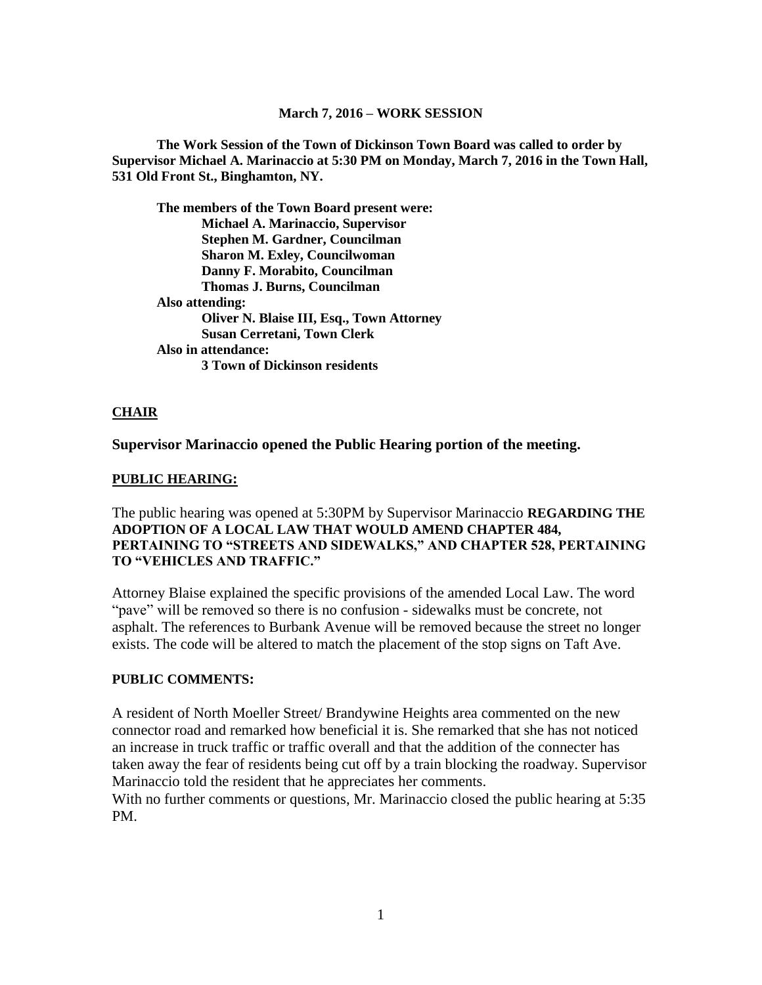#### **March 7, 2016 – WORK SESSION**

**The Work Session of the Town of Dickinson Town Board was called to order by Supervisor Michael A. Marinaccio at 5:30 PM on Monday, March 7, 2016 in the Town Hall, 531 Old Front St., Binghamton, NY.**

**The members of the Town Board present were: Michael A. Marinaccio, Supervisor Stephen M. Gardner, Councilman Sharon M. Exley, Councilwoman Danny F. Morabito, Councilman Thomas J. Burns, Councilman Also attending: Oliver N. Blaise III, Esq., Town Attorney Susan Cerretani, Town Clerk Also in attendance: 3 Town of Dickinson residents**

#### **CHAIR**

**Supervisor Marinaccio opened the Public Hearing portion of the meeting.**

#### **PUBLIC HEARING:**

The public hearing was opened at 5:30PM by Supervisor Marinaccio **REGARDING THE ADOPTION OF A LOCAL LAW THAT WOULD AMEND CHAPTER 484, PERTAINING TO "STREETS AND SIDEWALKS," AND CHAPTER 528, PERTAINING TO "VEHICLES AND TRAFFIC."**

Attorney Blaise explained the specific provisions of the amended Local Law. The word "pave" will be removed so there is no confusion - sidewalks must be concrete, not asphalt. The references to Burbank Avenue will be removed because the street no longer exists. The code will be altered to match the placement of the stop signs on Taft Ave.

#### **PUBLIC COMMENTS:**

A resident of North Moeller Street/ Brandywine Heights area commented on the new connector road and remarked how beneficial it is. She remarked that she has not noticed an increase in truck traffic or traffic overall and that the addition of the connecter has taken away the fear of residents being cut off by a train blocking the roadway. Supervisor Marinaccio told the resident that he appreciates her comments.

With no further comments or questions, Mr. Marinaccio closed the public hearing at 5:35 PM.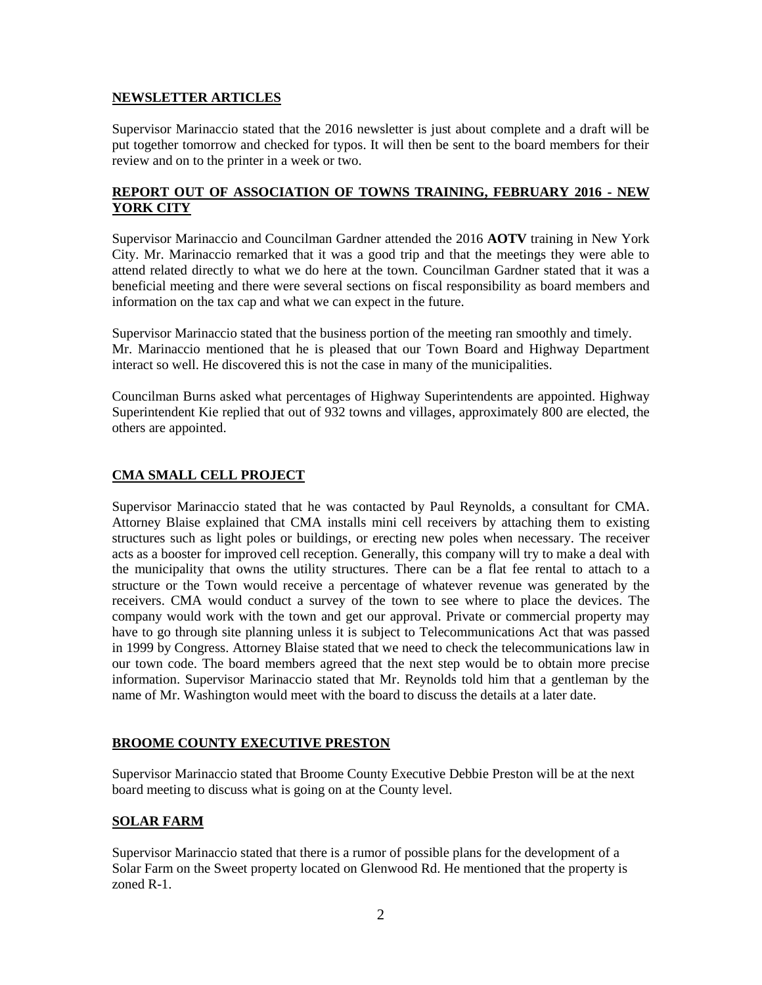### **NEWSLETTER ARTICLES**

Supervisor Marinaccio stated that the 2016 newsletter is just about complete and a draft will be put together tomorrow and checked for typos. It will then be sent to the board members for their review and on to the printer in a week or two.

### **REPORT OUT OF ASSOCIATION OF TOWNS TRAINING, FEBRUARY 2016 - NEW YORK CITY**

Supervisor Marinaccio and Councilman Gardner attended the 2016 **AOTV** training in New York City. Mr. Marinaccio remarked that it was a good trip and that the meetings they were able to attend related directly to what we do here at the town. Councilman Gardner stated that it was a beneficial meeting and there were several sections on fiscal responsibility as board members and information on the tax cap and what we can expect in the future.

Supervisor Marinaccio stated that the business portion of the meeting ran smoothly and timely. Mr. Marinaccio mentioned that he is pleased that our Town Board and Highway Department interact so well. He discovered this is not the case in many of the municipalities.

Councilman Burns asked what percentages of Highway Superintendents are appointed. Highway Superintendent Kie replied that out of 932 towns and villages, approximately 800 are elected, the others are appointed.

## **CMA SMALL CELL PROJECT**

Supervisor Marinaccio stated that he was contacted by Paul Reynolds, a consultant for CMA. Attorney Blaise explained that CMA installs mini cell receivers by attaching them to existing structures such as light poles or buildings, or erecting new poles when necessary. The receiver acts as a booster for improved cell reception. Generally, this company will try to make a deal with the municipality that owns the utility structures. There can be a flat fee rental to attach to a structure or the Town would receive a percentage of whatever revenue was generated by the receivers. CMA would conduct a survey of the town to see where to place the devices. The company would work with the town and get our approval. Private or commercial property may have to go through site planning unless it is subject to Telecommunications Act that was passed in 1999 by Congress. Attorney Blaise stated that we need to check the telecommunications law in our town code. The board members agreed that the next step would be to obtain more precise information. Supervisor Marinaccio stated that Mr. Reynolds told him that a gentleman by the name of Mr. Washington would meet with the board to discuss the details at a later date.

### **BROOME COUNTY EXECUTIVE PRESTON**

Supervisor Marinaccio stated that Broome County Executive Debbie Preston will be at the next board meeting to discuss what is going on at the County level.

## **SOLAR FARM**

Supervisor Marinaccio stated that there is a rumor of possible plans for the development of a Solar Farm on the Sweet property located on Glenwood Rd. He mentioned that the property is zoned R-1.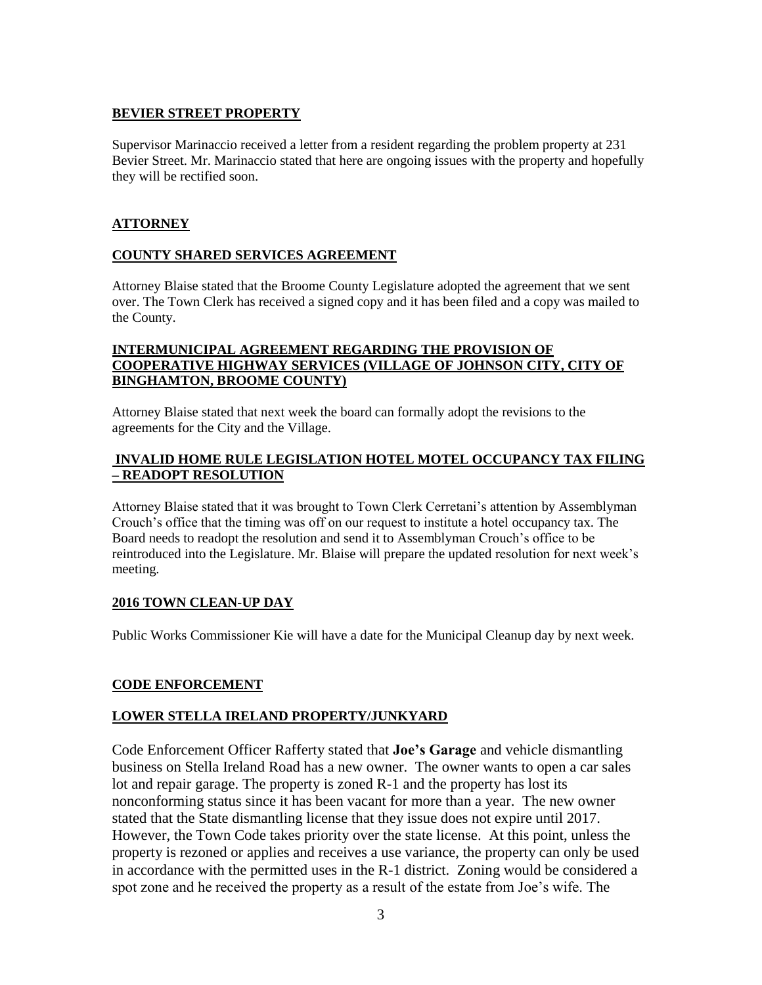## **BEVIER STREET PROPERTY**

Supervisor Marinaccio received a letter from a resident regarding the problem property at 231 Bevier Street. Mr. Marinaccio stated that here are ongoing issues with the property and hopefully they will be rectified soon.

### **ATTORNEY**

### **COUNTY SHARED SERVICES AGREEMENT**

Attorney Blaise stated that the Broome County Legislature adopted the agreement that we sent over. The Town Clerk has received a signed copy and it has been filed and a copy was mailed to the County.

### **INTERMUNICIPAL AGREEMENT REGARDING THE PROVISION OF COOPERATIVE HIGHWAY SERVICES (VILLAGE OF JOHNSON CITY, CITY OF BINGHAMTON, BROOME COUNTY)**

Attorney Blaise stated that next week the board can formally adopt the revisions to the agreements for the City and the Village.

### **INVALID HOME RULE LEGISLATION HOTEL MOTEL OCCUPANCY TAX FILING – READOPT RESOLUTION**

Attorney Blaise stated that it was brought to Town Clerk Cerretani's attention by Assemblyman Crouch's office that the timing was off on our request to institute a hotel occupancy tax. The Board needs to readopt the resolution and send it to Assemblyman Crouch's office to be reintroduced into the Legislature. Mr. Blaise will prepare the updated resolution for next week's meeting.

### **2016 TOWN CLEAN-UP DAY**

Public Works Commissioner Kie will have a date for the Municipal Cleanup day by next week.

### **CODE ENFORCEMENT**

### **LOWER STELLA IRELAND PROPERTY/JUNKYARD**

Code Enforcement Officer Rafferty stated that **Joe's Garage** and vehicle dismantling business on Stella Ireland Road has a new owner. The owner wants to open a car sales lot and repair garage. The property is zoned R-1 and the property has lost its nonconforming status since it has been vacant for more than a year. The new owner stated that the State dismantling license that they issue does not expire until 2017. However, the Town Code takes priority over the state license. At this point, unless the property is rezoned or applies and receives a use variance, the property can only be used in accordance with the permitted uses in the R-1 district. Zoning would be considered a spot zone and he received the property as a result of the estate from Joe's wife. The